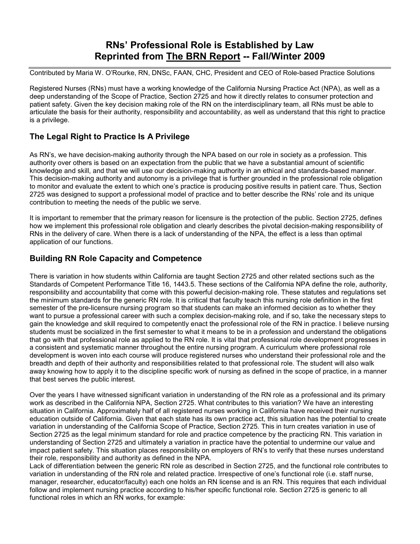## **RNs' Professional Role is Established by Law Reprinted from The BRN Report -- Fall/Winter 2009**

Contributed by Maria W. O'Rourke, RN, DNSc, FAAN, CHC, President and CEO of Role-based Practice Solutions

Registered Nurses (RNs) must have a working knowledge of the California Nursing Practice Act (NPA), as well as a deep understanding of the Scope of Practice, Section 2725 and how it directly relates to consumer protection and patient safety. Given the key decision making role of the RN on the interdisciplinary team, all RNs must be able to articulate the basis for their authority, responsibility and accountability, as well as understand that this right to practice is a privilege.

## **The Legal Right to Practice Is A Privilege**

As RN's, we have decision-making authority through the NPA based on our role in society as a profession. This authority over others is based on an expectation from the public that we have a substantial amount of scientific knowledge and skill, and that we will use our decision-making authority in an ethical and standards-based manner. This decision-making authority and autonomy is a privilege that is further grounded in the professional role obligation to monitor and evaluate the extent to which one's practice is producing positive results in patient care. Thus, Section 2725 was designed to support a professional model of practice and to better describe the RNs' role and its unique contribution to meeting the needs of the public we serve.

It is important to remember that the primary reason for licensure is the protection of the public. Section 2725, defines how we implement this professional role obligation and clearly describes the pivotal decision-making responsibility of RNs in the delivery of care. When there is a lack of understanding of the NPA, the effect is a less than optimal application of our functions.

## **Building RN Role Capacity and Competence**

There is variation in how students within California are taught Section 2725 and other related sections such as the Standards of Competent Performance Title 16, 1443.5. These sections of the California NPA define the role, authority, responsibility and accountability that come with this powerful decision-making role. These statutes and regulations set the minimum standards for the generic RN role. It is critical that faculty teach this nursing role definition in the first semester of the pre-licensure nursing program so that students can make an informed decision as to whether they want to pursue a professional career with such a complex decision-making role, and if so, take the necessary steps to gain the knowledge and skill required to competently enact the professional role of the RN in practice. I believe nursing students must be socialized in the first semester to what it means to be in a profession and understand the obligations that go with that professional role as applied to the RN role. It is vital that professional role development progresses in a consistent and systematic manner throughout the entire nursing program. A curriculum where professional role development is woven into each course will produce registered nurses who understand their professional role and the breadth and depth of their authority and responsibilities related to that professional role. The student will also walk away knowing how to apply it to the discipline specific work of nursing as defined in the scope of practice, in a manner that best serves the public interest.

Over the years I have witnessed significant variation in understanding of the RN role as a professional and its primary work as described in the California NPA, Section 2725. What contributes to this variation? We have an interesting situation in California. Approximately half of all registered nurses working in California have received their nursing education outside of California. Given that each state has its own practice act, this situation has the potential to create variation in understanding of the California Scope of Practice, Section 2725. This in turn creates variation in use of Section 2725 as the legal minimum standard for role and practice competence by the practicing RN. This variation in understanding of Section 2725 and ultimately a variation in practice have the potential to undermine our value and impact patient safety. This situation places responsibility on employers of RN's to verify that these nurses understand their role, responsibility and authority as defined in the NPA.

Lack of differentiation between the generic RN role as described in Section 2725, and the functional role contributes to variation in understanding of the RN role and related practice. Irrespective of one's functional role (i.e. staff nurse, manager, researcher, educator/faculty) each one holds an RN license and is an RN. This requires that each individual follow and implement nursing practice according to his/her specific functional role. Section 2725 is generic to all functional roles in which an RN works, for example: